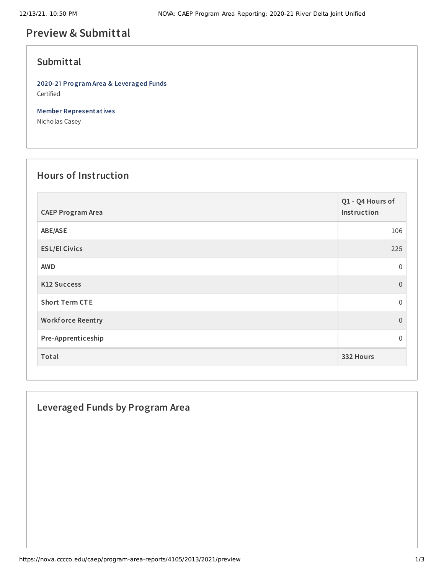# **Preview & Submittal**

### **Submittal**

**2020-21 Program Area & Leveraged Funds** Certified

**Member Representatives**

Nicholas Casey

## **Hours of Instruction**

| <b>CAEP Program Area</b> | Q1 - Q4 Hours of<br>Instruction |
|--------------------------|---------------------------------|
| ABE/ASE                  | 106                             |
| <b>ESL/El Civics</b>     | 225                             |
| <b>AWD</b>               | 0                               |
| <b>K12 Success</b>       | $\mathbf{0}$                    |
| <b>Short Term CTE</b>    | $\mathbf{0}$                    |
| <b>Workforce Reentry</b> | $\overline{0}$                  |
| Pre-Apprenticeship       | 0                               |
| Total                    | 332 Hours                       |

### **Leveraged Funds by Program Area**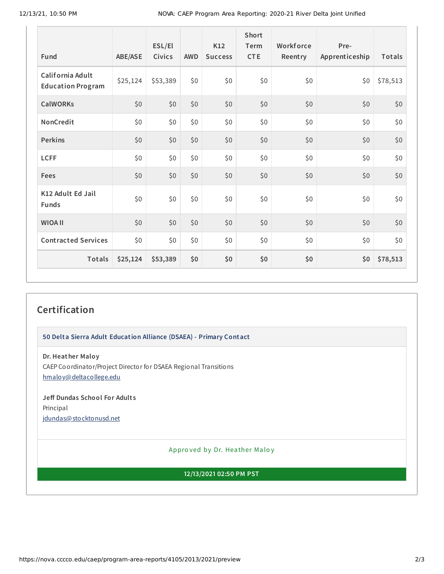| Fund                                         | <b>ABE/ASE</b> | ESL/El<br>Civics | <b>AWD</b> | <b>K12</b><br><b>Success</b> | Short<br>Term<br><b>CTE</b> | Workforce<br>Reentry | Pre-<br>Apprenticeship | Totals   |
|----------------------------------------------|----------------|------------------|------------|------------------------------|-----------------------------|----------------------|------------------------|----------|
| California Adult<br><b>Education Program</b> | \$25,124       | \$53,389         | \$0        | \$0                          | \$0                         | \$0                  | \$0                    | \$78,513 |
| <b>CalWORKs</b>                              | \$0            | \$0              | \$0\$      | \$0                          | \$0                         | \$0                  | \$0                    | \$0      |
| NonCredit                                    | \$0            | \$0              | \$0        | \$0                          | \$0                         | \$0                  | \$0                    | \$0      |
| <b>Perkins</b>                               | \$0            | \$0              | \$0        | \$0                          | \$0                         | \$0                  | \$0                    | \$0      |
| <b>LCFF</b>                                  | \$0            | \$0\$            | \$0        | \$0                          | \$0                         | \$0                  | \$0                    | \$0      |
| <b>Fees</b>                                  | \$0            | \$0              | \$0        | \$0                          | \$0                         | \$0                  | \$0                    | \$0      |
| K12 Adult Ed Jail<br><b>Funds</b>            | \$0            | \$0              | \$0        | \$0                          | \$0                         | \$0                  | \$0                    | \$0      |
| <b>WIOA II</b>                               | \$0            | \$0              | \$0\$      | \$0                          | \$0                         | \$0                  | \$0                    | \$0      |
| <b>Contracted Services</b>                   | \$0            | \$0\$            | \$0        | \$0                          | \$0                         | \$0                  | \$0                    | \$0      |
| Totals                                       | \$25,124       | \$53,389         | \$0        | \$0                          | \$0                         | \$0                  | \$0                    | \$78,513 |

## **Certification**

**50 Delta Sierra Adult Education Alliance (DSAEA) - Primary Contact**

**Dr. Heather Maloy** CAEP Coordinator/Project Director for DSAEA Regional Transitions [hmaloy@deltacollege.edu](mailto:hmaloy@deltacollege.edu)

**Jeff Dundas School For Adult s** Principal [jdundas@stocktonusd.net](mailto:jdundas@stocktonusd.net)

Appro ved by Dr. Heather Maloy

**12/13/2021 02:50 PM PST**